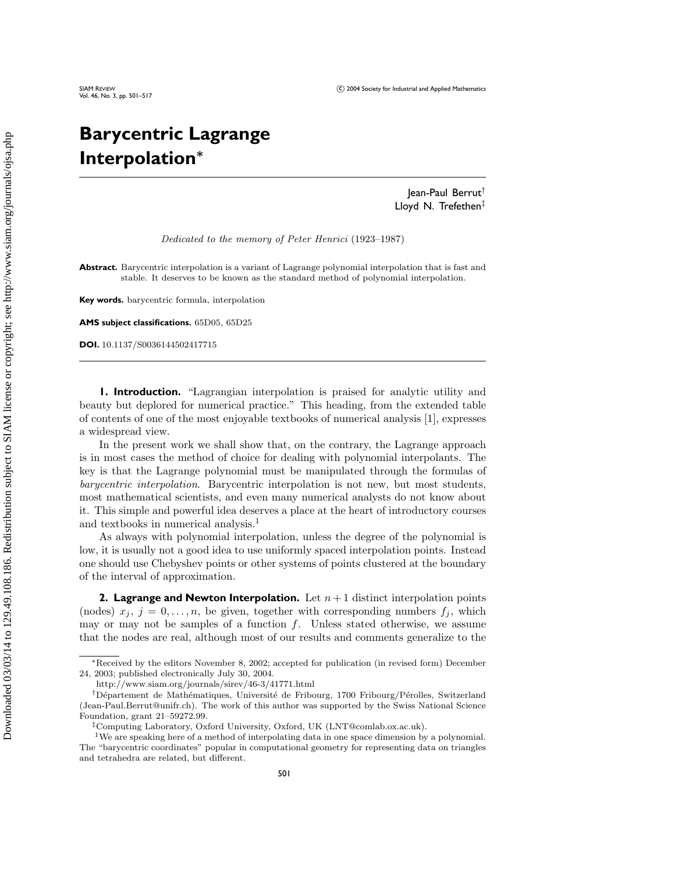# **Barycentric Lagrange Interpolation***<sup>∗</sup>*

Jean-Paul Berrut† Lloyd N. Trefethen‡

Dedicated to the memory of Peter Henrici (1923–1987)

SIAM REVIEW CO 2004 Society for Industrial and Applied Mathematics

**Abstract.** Barycentric interpolation is a variant of Lagrange polynomial interpolation that is fast and stable. It deserves to be known as the standard method of polynomial interpolation.

**Key words.** barycentric formula, interpolation

**AMS subject classifications.** 65D05, 65D25

**DOI.** 10.1137/S0036144502417715

**1. Introduction.** "Lagrangian interpolation is praised for analytic utility and beauty but deplored for numerical practice." This heading, from the extended table of contents of one of the most enjoyable textbooks of numerical analysis [1], expresses a widespread view.

In the present work we shall show that, on the contrary, the Lagrange approach is in most cases the method of choice for dealing with polynomial interpolants. The key is that the Lagrange polynomial must be manipulated through the formulas of barycentric interpolation. Barycentric interpolation is not new, but most students, most mathematical scientists, and even many numerical analysts do not knowabout it. This simple and powerful idea deserves a place at the heart of introductory courses and textbooks in numerical analysis.<sup>1</sup>

As always with polynomial interpolation, unless the degree of the polynomial is low, it is usually not a good idea to use uniformly spaced interpolation points. Instead one should use Chebyshev points or other systems of points clustered at the boundary of the interval of approximation.

**2. Lagrange and Newton Interpolation.** Let  $n + 1$  distinct interpolation points (nodes)  $x_j$ ,  $j = 0, \ldots, n$ , be given, together with corresponding numbers  $f_j$ , which may or may not be samples of a function  $f$ . Unless stated otherwise, we assume that the nodes are real, although most of our results and comments generalize to the

<sup>∗</sup>Received by the editors November 8, 2002; accepted for publication (in revised form) December 24, 2003; published electronically July 30, 2004.

http://www.siam.org/journals/sirev/46-3/41771.html

<sup>&</sup>lt;sup>†</sup>Département de Mathématiques, Université de Fribourg, 1700 Fribourg/Pérolles, Switzerland (Jean-Paul.Berrut@unifr.ch). The work of this author was supported by the Swiss National Science Foundation, grant 21–59272.99.

Computing Laboratory, Oxford University, Oxford, UK (LNT@comlab.ox.ac.uk).

<sup>1</sup>We are speaking here of a method of interpolating data in one space dimension by a polynomial. The "barycentric coordinates" popular in computational geometry for representing data on triangles and tetrahedra are related, but different.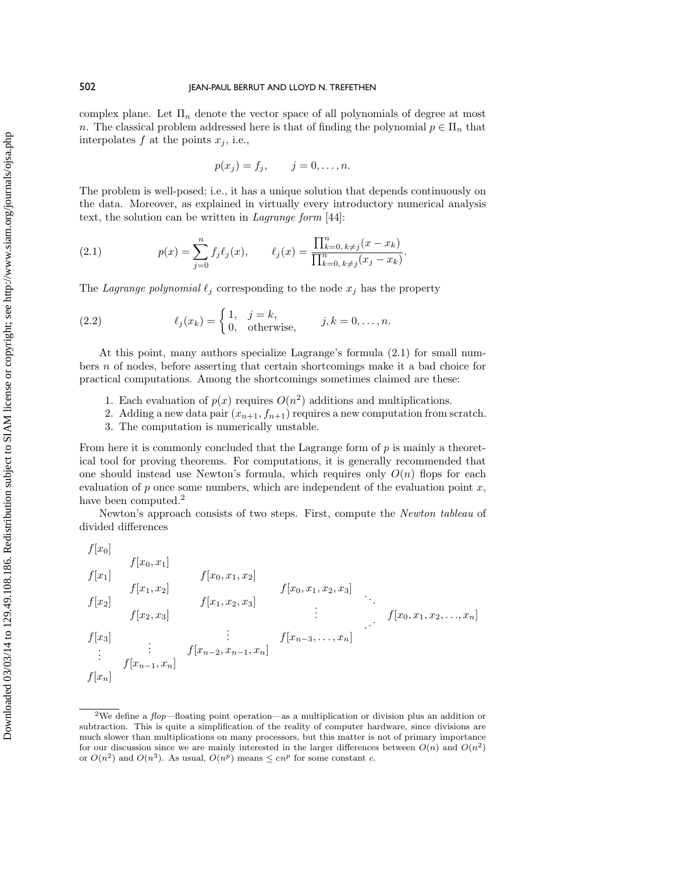complex plane. Let  $\Pi_n$  denote the vector space of all polynomials of degree at most n. The classical problem addressed here is that of finding the polynomial  $p \in \Pi_n$  that interpolates  $f$  at the points  $x_j$ , i.e.,

$$
p(x_j) = f_j, \qquad j = 0, \ldots, n.
$$

The problem is well-posed; i.e., it has a unique solution that depends continuously on the data. Moreover, as explained in virtually every introductory numerical analysis text, the solution can be written in Lagrange form [44]:

(2.1) 
$$
p(x) = \sum_{j=0}^{n} f_j \ell_j(x), \qquad \ell_j(x) = \frac{\prod_{k=0, k \neq j}^{n} (x - x_k)}{\prod_{k=0, k \neq j}^{n} (x_j - x_k)}.
$$

The Lagrange polynomial  $\ell_j$  corresponding to the node  $x_j$  has the property

(2.2) 
$$
\ell_j(x_k) = \begin{cases} 1, & j = k, \\ 0, & \text{otherwise,} \end{cases} \quad j, k = 0, \dots, n.
$$

At this point, many authors specialize Lagrange's formula (2.1) for small numbers n of nodes, before asserting that certain shortcomings make it a bad choice for practical computations. Among the shortcomings sometimes claimed are these:

- 1. Each evaluation of  $p(x)$  requires  $O(n^2)$  additions and multiplications.
- 2. Adding a new data pair  $(x_{n+1}, f_{n+1})$  requires a new computation from scratch.
- 3. The computation is numerically unstable.

From here it is commonly concluded that the Lagrange form of  $p$  is mainly a theoretical tool for proving theorems. For computations, it is generally recommended that one should instead use Newton's formula, which requires only  $O(n)$  flops for each evaluation of  $p$  once some numbers, which are independent of the evaluation point  $x$ , have been computed.<sup>2</sup>

Newton's approach consists of two steps. First, compute the Newton tableau of divided differences

$$
f[x_0]
$$
\n
$$
f[x_1]
$$
\n
$$
f[x_1]
$$
\n
$$
f[x_2]
$$
\n
$$
f[x_2, x_3]
$$
\n
$$
f[x_3]
$$
\n
$$
f[x_{n-1}, x_n]
$$
\n
$$
f[x_{n-2}, x_{n-1}, x_n]
$$
\n
$$
f[x_{n-1}, x_n]
$$
\n
$$
f[x_{n-2}, x_{n-1}, x_n]
$$
\n
$$
f[x_{n-1}, x_n]
$$
\n
$$
f[x_{n-1}, x_n]
$$
\n
$$
f[x_{n-2}, x_{n-1}, x_n]
$$
\n
$$
f[x_{n-2}, x_{n-1}, x_n]
$$

<sup>&</sup>lt;sup>2</sup>We define a  $flop$ —floating point operation—as a multiplication or division plus an addition or subtraction. This is quite a simplification of the reality of computer hardware, since divisions are much slower than multiplications on many processors, but this matter is not of primary importance for our discussion since we are mainly interested in the larger differences between  $O(n)$  and  $O(n^2)$ or  $O(n^2)$  and  $O(n^3)$ . As usual,  $O(n^p)$  means  $\leq cn^p$  for some constant c.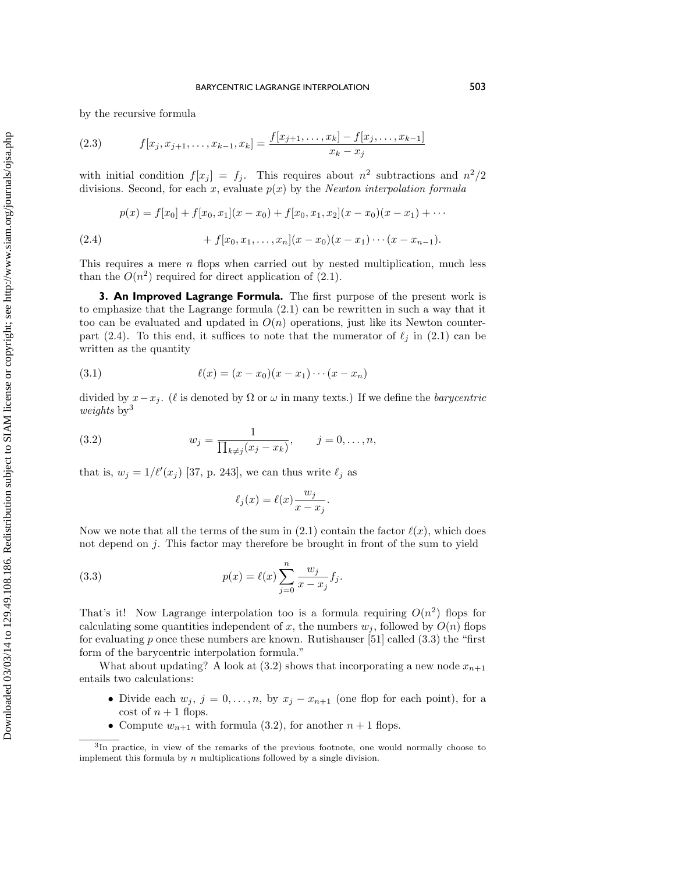# Downloaded 03/03/14 to 129.49.108.186. Redistribution subject to SIAM license or copyright; see http://www.siam.org/journals/ojsa.php Downloaded 03/03/14 to 129.49.108.186. Redistribution subject to SIAM license or copyright; see http://www.siam.org/journals/ojsa.php

# BARYCENTRIC LAGRANGE INTERPOLATION 503

by the recursive formula

(2.3) 
$$
f[x_j, x_{j+1}, \dots, x_{k-1}, x_k] = \frac{f[x_{j+1}, \dots, x_k] - f[x_j, \dots, x_{k-1}]}{x_k - x_j}
$$

with initial condition  $f[x_j] = f_j$ . This requires about  $n^2$  subtractions and  $n^2/2$ divisions. Second, for each x, evaluate  $p(x)$  by the Newton interpolation formula

(2.4) 
$$
p(x) = f[x_0] + f[x_0, x_1](x - x_0) + f[x_0, x_1, x_2](x - x_0)(x - x_1) + \cdots + f[x_0, x_1, \ldots, x_n](x - x_0)(x - x_1) \cdots (x - x_{n-1}).
$$

This requires a mere  $n$  flops when carried out by nested multiplication, much less than the  $O(n^2)$  required for direct application of  $(2.1)$ .

**3. An Improved Lagrange Formula.** The first purpose of the present work is to emphasize that the Lagrange formula (2.1) can be rewritten in such a way that it too can be evaluated and updated in  $O(n)$  operations, just like its Newton counterpart (2.4). To this end, it suffices to note that the numerator of  $\ell_i$  in (2.1) can be written as the quantity

(3.1) 
$$
\ell(x) = (x - x_0)(x - x_1) \cdots (x - x_n)
$$

divided by  $x-x_j$ . ( $\ell$  is denoted by  $\Omega$  or  $\omega$  in many texts.) If we define the *barycentric* weights  $by<sup>3</sup>$ 

(3.2) 
$$
w_j = \frac{1}{\prod_{k \neq j} (x_j - x_k)}, \qquad j = 0, ..., n,
$$

that is,  $w_j = 1/\ell'(x_j)$  [37, p. 243], we can thus write  $\ell_j$  as

$$
\ell_j(x) = \ell(x) \frac{w_j}{x - x_j}.
$$

Now we note that all the terms of the sum in (2.1) contain the factor  $\ell(x)$ , which does not depend on  $i$ . This factor may therefore be brought in front of the sum to yield

(3.3) 
$$
p(x) = \ell(x) \sum_{j=0}^{n} \frac{w_j}{x - x_j} f_j.
$$

That's it! Now Lagrange interpolation too is a formula requiring  $O(n^2)$  flops for calculating some quantities independent of x, the numbers  $w_i$ , followed by  $O(n)$  flops for evaluating p once these numbers are known. Rutishauser [51] called  $(3.3)$  the "first form of the barycentric interpolation formula."

What about updating? A look at  $(3.2)$  shows that incorporating a new node  $x_{n+1}$ entails two calculations:

- Divide each  $w_j$ ,  $j = 0, \ldots, n$ , by  $x_j x_{n+1}$  (one flop for each point), for a cost of  $n+1$  flops.
- Compute  $w_{n+1}$  with formula (3.2), for another  $n+1$  flops.

<sup>3</sup>In practice, in view of the remarks of the previous footnote, one would normally choose to implement this formula by  $n$  multiplications followed by a single division.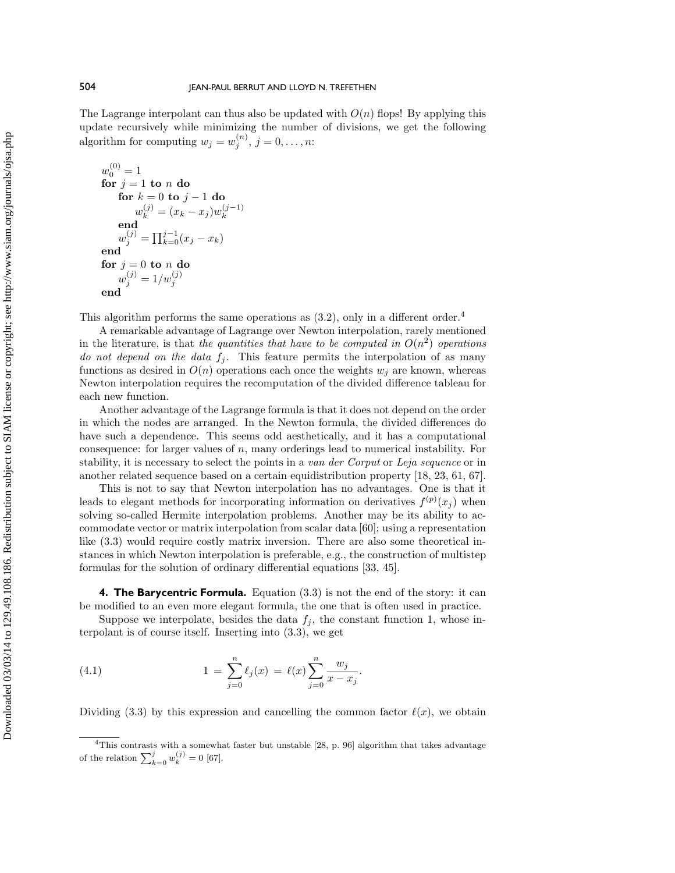The Lagrange interpolant can thus also be updated with  $O(n)$  flops! By applying this update recursively while minimizing the number of divisions, we get the following algorithm for computing  $w_j = w_j^{(n)}$ ,  $j = 0, \ldots, n$ :

$$
w_0^{(0)} = 1
$$
  
for  $j = 1$  to *n* do  
for  $k = 0$  to  $j - 1$  do  

$$
w_k^{(j)} = (x_k - x_j)w_k^{(j-1)}
$$
  
end  

$$
w_j^{(j)} = \prod_{k=0}^{j-1} (x_j - x_k)
$$
  
end  
for  $j = 0$  to *n* do  

$$
w_j^{(j)} = 1/w_j^{(j)}
$$
  
end

This algorithm performs the same operations as  $(3.2)$ , only in a different order.<sup>4</sup>

A remarkable advantage of Lagrange over Newton interpolation, rarely mentioned in the literature, is that the quantities that have to be computed in  $O(n^2)$  operations do not depend on the data  $f_i$ . This feature permits the interpolation of as many functions as desired in  $O(n)$  operations each once the weights  $w_i$  are known, whereas Newton interpolation requires the recomputation of the divided difference tableau for each new function.

Another advantage of the Lagrange formula is that it does not depend on the order in which the nodes are arranged. In the Newton formula, the divided differences do have such a dependence. This seems odd aesthetically, and it has a computational consequence: for larger values of n, many orderings lead to numerical instability. For stability, it is necessary to select the points in a van der Corput or Leja sequence or in another related sequence based on a certain equidistribution property [18, 23, 61, 67].

This is not to say that Newton interpolation has no advantages. One is that it leads to elegant methods for incorporating information on derivatives  $f^{(p)}(x_j)$  when solving so-called Hermite interpolation problems. Another may be its ability to accommodate vector or matrix interpolation from scalar data [60]; using a representation like (3.3) would require costly matrix inversion. There are also some theoretical instances in which Newton interpolation is preferable, e.g., the construction of multistep formulas for the solution of ordinary differential equations [33, 45].

**4. The Barycentric Formula.** Equation (3.3) is not the end of the story: it can be modified to an even more elegant formula, the one that is often used in practice.

Suppose we interpolate, besides the data  $f_i$ , the constant function 1, whose interpolant is of course itself. Inserting into (3.3), we get

(4.1) 
$$
1 = \sum_{j=0}^{n} \ell_j(x) = \ell(x) \sum_{j=0}^{n} \frac{w_j}{x - x_j}.
$$

Dividing (3.3) by this expression and cancelling the common factor  $\ell(x)$ , we obtain

<sup>&</sup>lt;sup>4</sup>This contrasts with a somewhat faster but unstable  $[28, p. 96]$  algorithm that takes advantage of the relation  $\sum_{k=0}^{j} w_k^{(j)} = 0$  [67].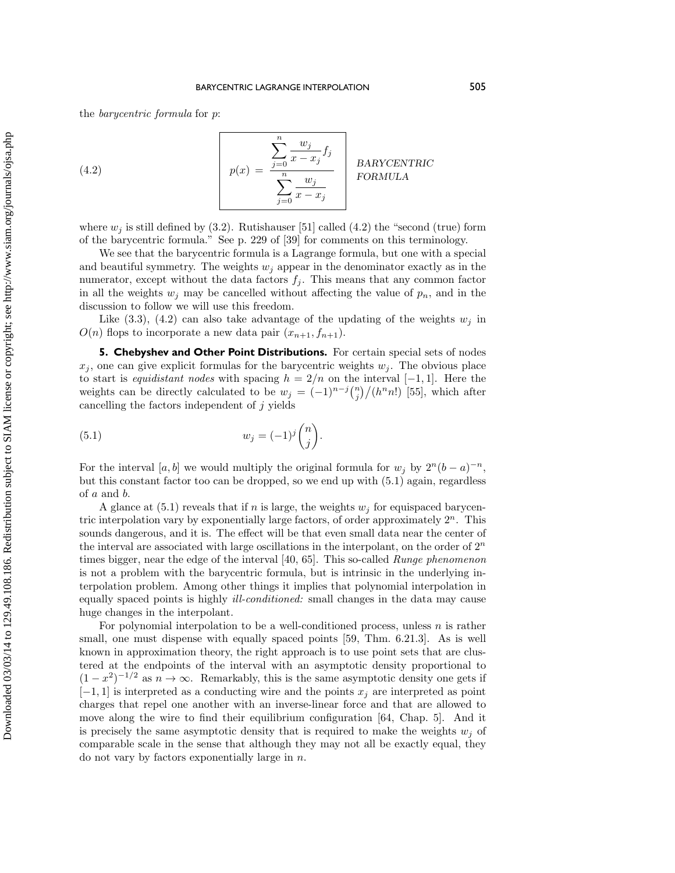the barycentric formula for p:

(4.2) 
$$
p(x) = \frac{\sum_{j=0}^{n} \frac{w_j}{x - x_j} f_j}{\sum_{j=0}^{n} \frac{w_j}{x - x_j}} \quad \text{BARYCENTRIC} \quad \text{FORMULA}
$$

where  $w_j$  is still defined by (3.2). Rutishauser [51] called (4.2) the "second (true) form of the barycentric formula." See p. 229 of [39] for comments on this terminology.

We see that the barycentric formula is a Lagrange formula, but one with a special and beautiful symmetry. The weights  $w_i$  appear in the denominator exactly as in the numerator, except without the data factors  $f_i$ . This means that any common factor in all the weights  $w_j$  may be cancelled without affecting the value of  $p_n$ , and in the discussion to follow we will use this freedom.

Like  $(3.3)$ ,  $(4.2)$  can also take advantage of the updating of the weights  $w_j$  in  $O(n)$  flops to incorporate a new data pair  $(x_{n+1}, f_{n+1})$ .

**5. Chebyshev and Other Point Distributions.** For certain special sets of nodes  $x_i$ , one can give explicit formulas for the barycentric weights  $w_i$ . The obvious place to start is equidistant nodes with spacing  $h = 2/n$  on the interval [−1, 1]. Here the weights can be directly calculated to be  $w_j = (-1)^{n-j} {n \choose j} / (h^n n!)$  [55], which after cancelling the factors independent of  $j$  yields

(5.1) 
$$
w_j = (-1)^j \binom{n}{j}.
$$

For the interval [a, b] we would multiply the original formula for  $w_i$  by  $2^n(b-a)^{-n}$ , but this constant factor too can be dropped, so we end up with (5.1) again, regardless of a and b.

A glance at  $(5.1)$  reveals that if n is large, the weights  $w_j$  for equispaced barycentric interpolation vary by exponentially large factors, of order approximately  $2^n$ . This sounds dangerous, and it is. The effect will be that even small data near the center of the interval are associated with large oscillations in the interpolant, on the order of  $2^n$ times bigger, near the edge of the interval [40, 65]. This so-called *Runge phenomenon* is not a problem with the barycentric formula, but is intrinsic in the underlying interpolation problem. Among other things it implies that polynomial interpolation in equally spaced points is highly ill-conditioned: small changes in the data may cause huge changes in the interpolant.

For polynomial interpolation to be a well-conditioned process, unless  $n$  is rather small, one must dispense with equally spaced points [59, Thm. 6.21.3]. As is well known in approximation theory, the right approach is to use point sets that are clustered at the endpoints of the interval with an asymptotic density proportional to  $(1-x^2)^{-1/2}$  as  $n \to \infty$ . Remarkably, this is the same asymptotic density one gets if  $[-1, 1]$  is interpreted as a conducting wire and the points  $x_i$  are interpreted as point charges that repel one another with an inverse-linear force and that are allowed to move along the wire to find their equilibrium configuration [64, Chap. 5]. And it is precisely the same asymptotic density that is required to make the weights  $w_i$  of comparable scale in the sense that although they may not all be exactly equal, they do not vary by factors exponentially large in  $n$ .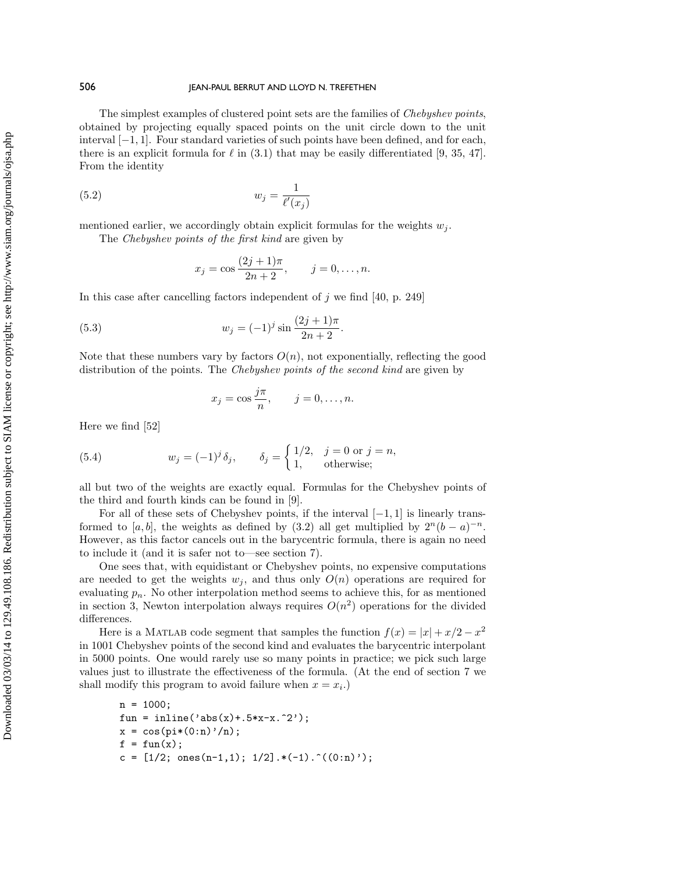The simplest examples of clustered point sets are the families of Chebyshev points, obtained by projecting equally spaced points on the unit circle down to the unit interval [−1, 1]. Four standard varieties of such points have been defined, and for each, there is an explicit formula for  $\ell$  in (3.1) that may be easily differentiated [9, 35, 47]. From the identity

$$
(5.2) \t\t w_j = \frac{1}{\ell'(x_j)}
$$

mentioned earlier, we accordingly obtain explicit formulas for the weights  $w_i$ .

The Chebyshev points of the first kind are given by

$$
x_j = \cos \frac{(2j+1)\pi}{2n+2}, \qquad j = 0, \dots, n.
$$

In this case after cancelling factors independent of  $j$  we find [40, p. 249]

(5.3) 
$$
w_j = (-1)^j \sin \frac{(2j+1)\pi}{2n+2}.
$$

Note that these numbers vary by factors  $O(n)$ , not exponentially, reflecting the good distribution of the points. The Chebyshev points of the second kind are given by

$$
x_j = \cos \frac{j\pi}{n}, \qquad j = 0, \dots, n.
$$

Here we find [52]

(5.4) 
$$
w_j = (-1)^j \delta_j, \qquad \delta_j = \begin{cases} 1/2, & j = 0 \text{ or } j = n, \\ 1, & \text{otherwise}; \end{cases}
$$

all but two of the weights are exactly equal. Formulas for the Chebyshev points of the third and fourth kinds can be found in [9].

For all of these sets of Chebyshev points, if the interval  $[-1, 1]$  is linearly transformed to [a, b], the weights as defined by (3.2) all get multiplied by  $2^{n}(b - a)^{-n}$ . However, as this factor cancels out in the barycentric formula, there is again no need to include it (and it is safer not to—see section 7).

One sees that, with equidistant or Chebyshev points, no expensive computations are needed to get the weights  $w_i$ , and thus only  $O(n)$  operations are required for evaluating  $p_n$ . No other interpolation method seems to achieve this, for as mentioned in section 3, Newton interpolation always requires  $O(n^2)$  operations for the divided differences.

Here is a MATLAB code segment that samples the function  $f(x) = |x| + x/2 - x^2$ in 1001 Chebyshev points of the second kind and evaluates the barycentric interpolant in 5000 points. One would rarely use so many points in practice; we pick such large values just to illustrate the effectiveness of the formula. (At the end of section 7 we shall modify this program to avoid failure when  $x = x_i$ .

```
n = 1000;fun = inline('abs(x) + .5*x-x.^2');x = \cos(\pi * (0:n)'/n);
f = fun(x);c = [1/2; ones(n-1,1); 1/2].*(-1).<sup>^</sup>((0:n)');
```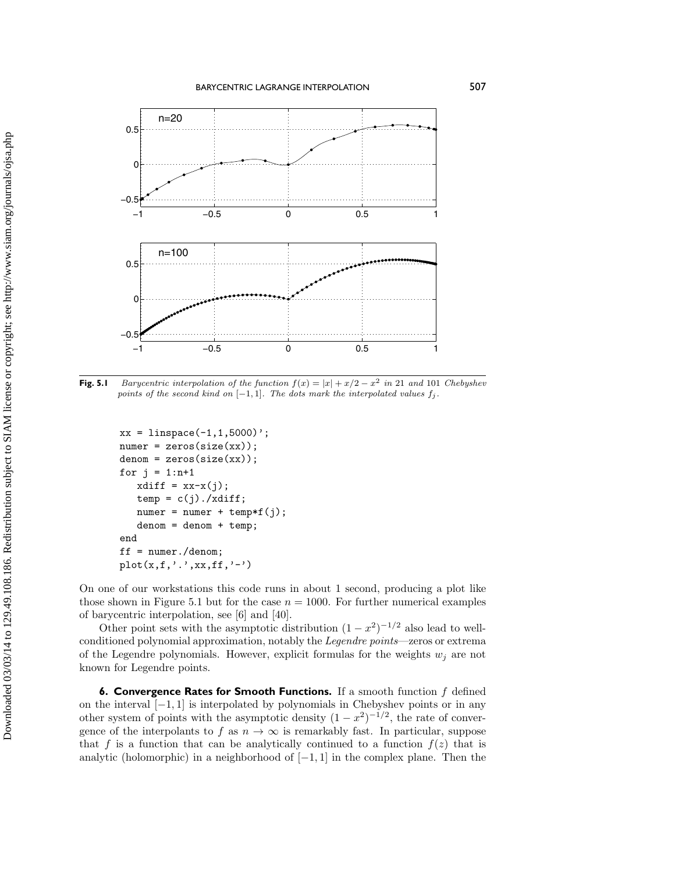

**Fig. 5.1** Barycentric interpolation of the function  $f(x) = |x| + x/2 - x^2$  in 21 and 101 Chebyshev points of the second kind on  $[-1, 1]$ . The dots mark the interpolated values  $f_j$ .

```
xx = 1inspace(-1, 1, 5000)';
numer = zeros(size(xx));denom = zeros(size(xx));for j = 1:n+1xdiff = xx-x(j);temp = c(j)./xdiff;
   numer = numer + temp*f(j);denom = denom + temp;end
ff = numer./denom;
plot(x, f, ','.', xx, ff, '-'')
```
On one of our workstations this code runs in about 1 second, producing a plot like those shown in Figure 5.1 but for the case  $n = 1000$ . For further numerical examples of barycentric interpolation, see [6] and [40].

Other point sets with the asymptotic distribution  $(1 - x^2)^{-1/2}$  also lead to wellconditioned polynomial approximation, notably the Legendre points—zeros or extrema of the Legendre polynomials. However, explicit formulas for the weights  $w_i$  are not known for Legendre points.

**6. Convergence Rates for Smooth Functions.** If a smooth function f defined on the interval [−1, 1] is interpolated by polynomials in Chebyshev points or in any other system of points with the asymptotic density  $(1 - x^2)^{-1/2}$ , the rate of convergence of the interpolants to f as  $n \to \infty$  is remarkably fast. In particular, suppose that f is a function that can be analytically continued to a function  $f(z)$  that is analytic (holomorphic) in a neighborhood of  $[-1, 1]$  in the complex plane. Then the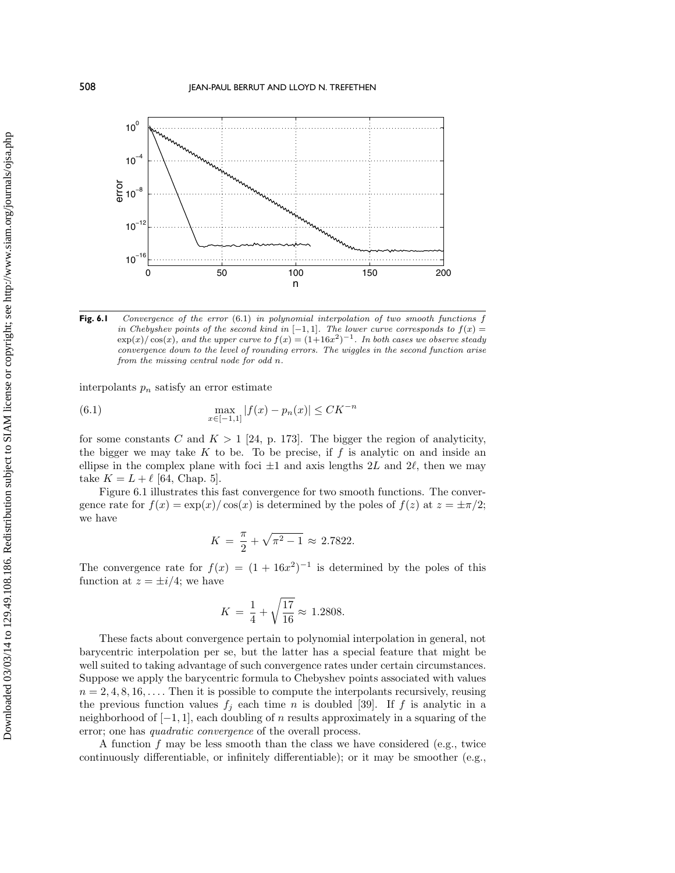

**Fig. 6.1** Convergence of the error (6.1) in polynomial interpolation of two smooth functions f in Chebyshev points of the second kind in  $[-1, 1]$ . The lower curve corresponds to  $f(x) =$  $\exp(x)/\cos(x)$ , and the upper curve to  $f(x) = (1+16x^2)^{-1}$ . In both cases we observe steady convergence down to the level of rounding errors. The wiggles in the second function arise from the missing central node for odd n.

interpolants  $p_n$  satisfy an error estimate

(6.1) 
$$
\max_{x \in [-1,1]} |f(x) - p_n(x)| \leq C K^{-n}
$$

for some constants C and  $K > 1$  [24, p. 173]. The bigger the region of analyticity, the bigger we may take  $K$  to be. To be precise, if  $f$  is analytic on and inside an ellipse in the complex plane with foci  $\pm 1$  and axis lengths 2L and 2 $\ell$ , then we may take  $K = L + \ell$  [64, Chap. 5].

Figure 6.1 illustrates this fast convergence for two smooth functions. The convergence rate for  $f(x) = \exp(x)/\cos(x)$  is determined by the poles of  $f(z)$  at  $z = \pm \pi/2$ ; we have

$$
K = \frac{\pi}{2} + \sqrt{\pi^2 - 1} \approx 2.7822.
$$

The convergence rate for  $f(x) = (1 + 16x^2)^{-1}$  is determined by the poles of this function at  $z = \pm i/4$ ; we have

$$
K = \frac{1}{4} + \sqrt{\frac{17}{16}} \approx 1.2808.
$$

These facts about convergence pertain to polynomial interpolation in general, not barycentric interpolation per se, but the latter has a special feature that might be well suited to taking advantage of such convergence rates under certain circumstances. Suppose we apply the barycentric formula to Chebyshev points associated with values  $n = 2, 4, 8, 16, \ldots$ . Then it is possible to compute the interpolants recursively, reusing the previous function values  $f_j$  each time n is doubled [39]. If f is analytic in a neighborhood of  $[-1, 1]$ , each doubling of n results approximately in a squaring of the error; one has quadratic convergence of the overall process.

A function  $f$  may be less smooth than the class we have considered (e.g., twice continuously differentiable, or infinitely differentiable); or it may be smoother (e.g.,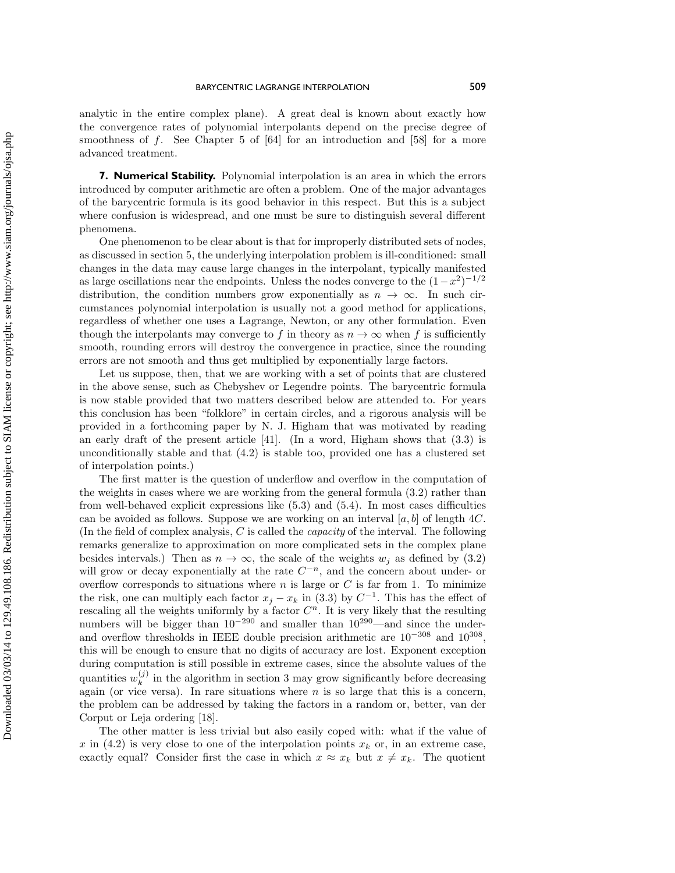analytic in the entire complex plane). A great deal is known about exactly how the convergence rates of polynomial interpolants depend on the precise degree of smoothness of  $f$ . See Chapter 5 of  $[64]$  for an introduction and  $[58]$  for a more advanced treatment.

**7. Numerical Stability.** Polynomial interpolation is an area in which the errors introduced by computer arithmetic are often a problem. One of the major advantages of the barycentric formula is its good behavior in this respect. But this is a subject where confusion is widespread, and one must be sure to distinguish several different phenomena.

One phenomenon to be clear about is that for improperly distributed sets of nodes, as discussed in section 5, the underlying interpolation problem is ill-conditioned: small changes in the data may cause large changes in the interpolant, typically manifested as large oscillations near the endpoints. Unless the nodes converge to the  $(1-x^2)^{-1/2}$ distribution, the condition numbers grow exponentially as  $n \to \infty$ . In such circumstances polynomial interpolation is usually not a good method for applications, regardless of whether one uses a Lagrange, Newton, or any other formulation. Even though the interpolants may converge to f in theory as  $n \to \infty$  when f is sufficiently smooth, rounding errors will destroy the convergence in practice, since the rounding errors are not smooth and thus get multiplied by exponentially large factors.

Let us suppose, then, that we are working with a set of points that are clustered in the above sense, such as Chebyshev or Legendre points. The barycentric formula is nowstable provided that two matters described beloware attended to. For years this conclusion has been "folklore" in certain circles, and a rigorous analysis will be provided in a forthcoming paper by N. J. Higham that was motivated by reading an early draft of the present article  $[41]$ . (In a word, Higham shows that  $(3.3)$ ) is unconditionally stable and that (4.2) is stable too, provided one has a clustered set of interpolation points.)

The first matter is the question of underflowand overflowin the computation of the weights in cases where we are working from the general formula (3.2) rather than from well-behaved explicit expressions like (5.3) and (5.4). In most cases difficulties can be avoided as follows. Suppose we are working on an interval  $[a, b]$  of length 4C. (In the field of complex analysis,  $C$  is called the *capacity* of the interval. The following remarks generalize to approximation on more complicated sets in the complex plane besides intervals.) Then as  $n \to \infty$ , the scale of the weights  $w_j$  as defined by (3.2) will grow or decay exponentially at the rate  $C^{-n}$ , and the concern about under- or overflow corresponds to situations where n is large or  $C$  is far from 1. To minimize the risk, one can multiply each factor  $x_j - x_k$  in (3.3) by  $C^{-1}$ . This has the effect of rescaling all the weights uniformly by a factor  $C<sup>n</sup>$ . It is very likely that the resulting numbers will be bigger than  $10^{-290}$  and smaller than  $10^{290}$ —and since the underand overflow thresholds in IEEE double precision arithmetic are  $10^{-308}$  and  $10^{308}$ . this will be enough to ensure that no digits of accuracy are lost. Exponent exception during computation is still possible in extreme cases, since the absolute values of the quantities  $w_k^{(j)}$  in the algorithm in section 3 may grow significantly before decreasing again (or vice versa). In rare situations where  $n$  is so large that this is a concern, the problem can be addressed by taking the factors in a random or, better, van der Corput or Leja ordering [18].

The other matter is less trivial but also easily coped with: what if the value of x in (4.2) is very close to one of the interpolation points  $x_k$  or, in an extreme case, exactly equal? Consider first the case in which  $x \approx x_k$  but  $x \neq x_k$ . The quotient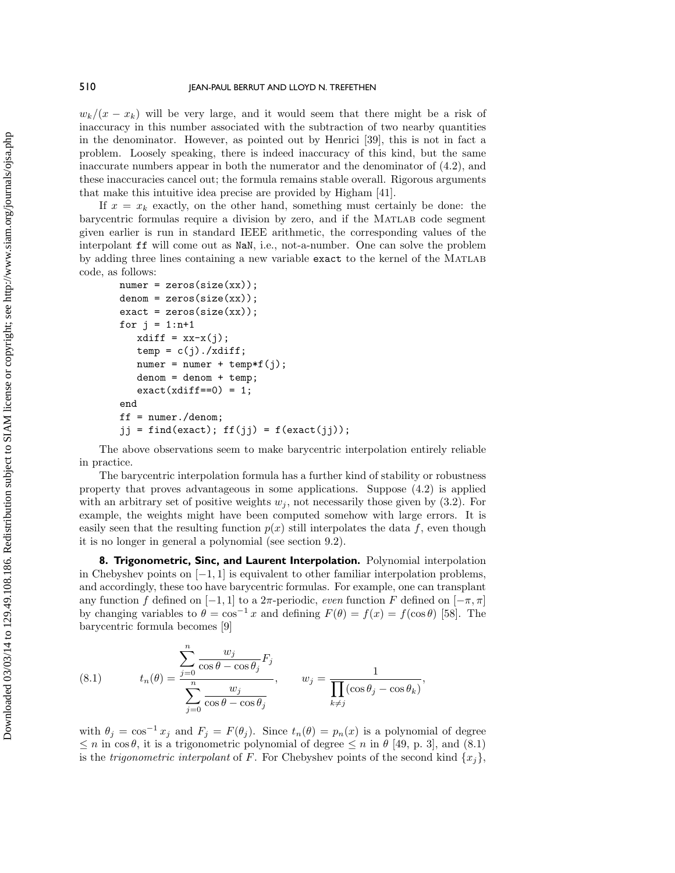$w_k/(x-x_k)$  will be very large, and it would seem that there might be a risk of inaccuracy in this number associated with the subtraction of two nearby quantities in the denominator. However, as pointed out by Henrici [39], this is not in fact a problem. Loosely speaking, there is indeed inaccuracy of this kind, but the same inaccurate numbers appear in both the numerator and the denominator of (4.2), and these inaccuracies cancel out; the formula remains stable overall. Rigorous arguments that make this intuitive idea precise are provided by Higham [41].

If  $x = x_k$  exactly, on the other hand, something must certainly be done: the barycentric formulas require a division by zero, and if the Matlab code segment given earlier is run in standard IEEE arithmetic, the corresponding values of the interpolant ff will come out as NaN, i.e., not-a-number. One can solve the problem by adding three lines containing a new variable **exact** to the kernel of the MATLAB code, as follows:

```
numer = zeros(size(xx));denom = zeros(size(xx));exact = zeros(size(xx));for j = 1:n+1xdiff = xx-x(j);temp = c(j)./xdiff;
  numer = numer + temp*f(j);denom = denom + temp;exact(xdiff==0) = 1;end
ff = numer./denom;
jj = find(exact); ff(j) = f(exact(j));
```
The above observations seem to make barycentric interpolation entirely reliable in practice.

The barycentric interpolation formula has a further kind of stability or robustness property that proves advantageous in some applications. Suppose (4.2) is applied with an arbitrary set of positive weights  $w_j$ , not necessarily those given by (3.2). For example, the weights might have been computed somehow with large errors. It is easily seen that the resulting function  $p(x)$  still interpolates the data f, even though it is no longer in general a polynomial (see section 9.2).

**8. Trigonometric, Sinc, and Laurent Interpolation.** Polynomial interpolation in Chebyshev points on  $[-1, 1]$  is equivalent to other familiar interpolation problems, and accordingly, these too have barycentric formulas. For example, one can transplant any function f defined on  $[-1, 1]$  to a  $2\pi$ -periodic, *even* function F defined on  $[-\pi, \pi]$ by changing variables to  $\theta = \cos^{-1} x$  and defining  $F(\theta) = f(x) = f(\cos \theta)$  [58]. The barycentric formula becomes [9]

(8.1) 
$$
t_n(\theta) = \frac{\sum_{j=0}^n \frac{w_j}{\cos \theta - \cos \theta_j} F_j}{\sum_{j=0}^n \frac{w_j}{\cos \theta - \cos \theta_j}}, \qquad w_j = \frac{1}{\prod_{k \neq j} (\cos \theta_j - \cos \theta_k)},
$$

n

with  $\theta_j = \cos^{-1} x_j$  and  $F_j = F(\theta_j)$ . Since  $t_n(\theta) = p_n(x)$  is a polynomial of degree  $\leq n$  in cos $\theta$ , it is a trigonometric polynomial of degree  $\leq n$  in  $\theta$  [49, p. 3], and (8.1) is the *trigonometric interpolant* of F. For Chebyshev points of the second kind  $\{x_i\}$ ,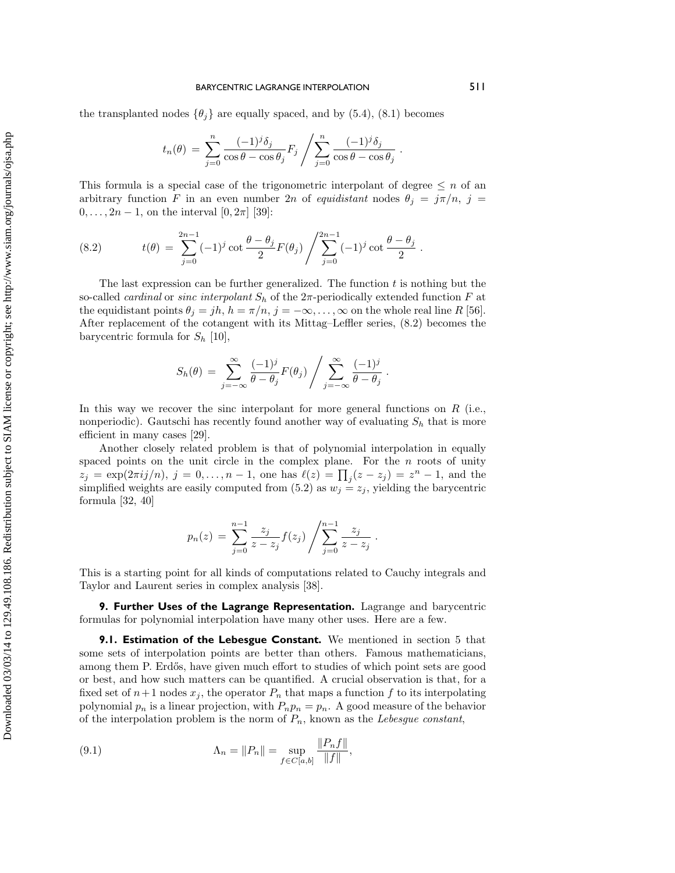the transplanted nodes  $\{\theta_j\}$  are equally spaced, and by (5.4), (8.1) becomes

$$
t_n(\theta) = \sum_{j=0}^n \frac{(-1)^j \delta_j}{\cos \theta - \cos \theta_j} F_j / \sum_{j=0}^n \frac{(-1)^j \delta_j}{\cos \theta - \cos \theta_j}.
$$

This formula is a special case of the trigonometric interpolant of degree  $\leq n$  of an arbitrary function F in an even number 2n of equidistant nodes  $\theta_j = j\pi/n$ ,  $j =$  $0, \ldots, 2n - 1$ , on the interval  $[0, 2\pi]$  [39]:

(8.2) 
$$
t(\theta) = \sum_{j=0}^{2n-1} (-1)^j \cot \frac{\theta - \theta_j}{2} F(\theta_j) / \sum_{j=0}^{2n-1} (-1)^j \cot \frac{\theta - \theta_j}{2}.
$$

The last expression can be further generalized. The function  $t$  is nothing but the so-called *cardinal* or *sinc interpolant*  $S_h$  of the  $2\pi$ -periodically extended function F at the equidistant points  $\theta_j = jh$ ,  $h = \pi/n$ ,  $j = -\infty, \ldots, \infty$  on the whole real line R [56]. After replacement of the cotangent with its Mittag–Leffler series, (8.2) becomes the barycentric formula for  $S_h$  [10],

$$
S_h(\theta) = \sum_{j=-\infty}^{\infty} \frac{(-1)^j}{\theta - \theta_j} F(\theta_j) / \sum_{j=-\infty}^{\infty} \frac{(-1)^j}{\theta - \theta_j}.
$$

In this way we recover the sinc interpolant for more general functions on  $R$  (i.e., nonperiodic). Gautschi has recently found another way of evaluating  $S_h$  that is more efficient in many cases [29].

Another closely related problem is that of polynomial interpolation in equally spaced points on the unit circle in the complex plane. For the  $n$  roots of unity  $z_j = \exp(2\pi i j/n), j = 0, \ldots, n-1$ , one has  $\ell(z) = \prod_j (z - z_j) = z^n - 1$ , and the simplified weights are easily computed from (5.2) as  $w_j = z_j$ , yielding the barycentric formula [32, 40]

$$
p_n(z) = \sum_{j=0}^{n-1} \frac{z_j}{z - z_j} f(z_j) / \sum_{j=0}^{n-1} \frac{z_j}{z - z_j} .
$$

This is a starting point for all kinds of computations related to Cauchy integrals and Taylor and Laurent series in complex analysis [38].

**9. Further Uses of the Lagrange Representation.** Lagrange and barycentric formulas for polynomial interpolation have many other uses. Here are a few.

**9.1. Estimation of the Lebesgue Constant.** We mentioned in section 5 that some sets of interpolation points are better than others. Famous mathematicians, among them P. Erdős, have given much effort to studies of which point sets are good or best, and howsuch matters can be quantified. A crucial observation is that, for a fixed set of  $n+1$  nodes  $x_j$ , the operator  $P_n$  that maps a function f to its interpolating polynomial  $p_n$  is a linear projection, with  $P_np_n = p_n$ . A good measure of the behavior of the interpolation problem is the norm of  $P_n$ , known as the Lebesgue constant,

(9.1) 
$$
\Lambda_n = \|P_n\| = \sup_{f \in C[a,b]} \frac{\|P_n f\|}{\|f\|},
$$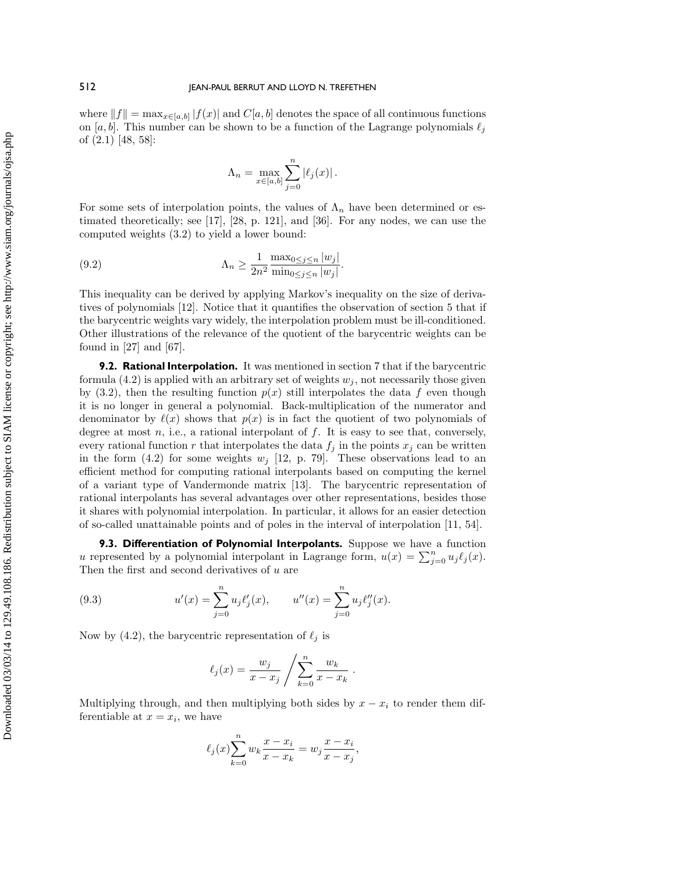where  $||f|| = \max_{x \in [a,b]} |f(x)|$  and  $C[a,b]$  denotes the space of all continuous functions on [a, b]. This number can be shown to be a function of the Lagrange polynomials  $\ell_j$ of (2.1) [48, 58]:

$$
\Lambda_n = \max_{x \in [a,b]} \sum_{j=0}^n |\ell_j(x)|.
$$

For some sets of interpolation points, the values of  $\Lambda_n$  have been determined or estimated theoretically; see [17], [28, p. 121], and [36]. For any nodes, we can use the computed weights (3.2) to yield a lower bound:

(9.2) 
$$
\Lambda_n \ge \frac{1}{2n^2} \frac{\max_{0 \le j \le n} |w_j|}{\min_{0 \le j \le n} |w_j|}.
$$

This inequality can be derived by applying Markov's inequality on the size of derivatives of polynomials [12]. Notice that it quantifies the observation of section 5 that if the barycentric weights vary widely, the interpolation problem must be ill-conditioned. Other illustrations of the relevance of the quotient of the barycentric weights can be found in [27] and [67].

**9.2. Rational Interpolation.** It was mentioned in section 7 that if the barycentric formula  $(4.2)$  is applied with an arbitrary set of weights  $w_i$ , not necessarily those given by  $(3.2)$ , then the resulting function  $p(x)$  still interpolates the data f even though it is no longer in general a polynomial. Back-multiplication of the numerator and denominator by  $\ell(x)$  shows that  $p(x)$  is in fact the quotient of two polynomials of degree at most  $n$ , i.e., a rational interpolant of  $f$ . It is easy to see that, conversely, every rational function r that interpolates the data  $f_j$  in the points  $x_j$  can be written in the form (4.2) for some weights  $w_j$  [12, p. 79]. These observations lead to an efficient method for computing rational interpolants based on computing the kernel of a variant type of Vandermonde matrix [13]. The barycentric representation of rational interpolants has several advantages over other representations, besides those it shares with polynomial interpolation. In particular, it allows for an easier detection of so-called unattainable points and of poles in the interval of interpolation [11, 54].

**9.3. Differentiation of Polynomial Interpolants.** Suppose we have a function u represented by a polynomial interpolant in Lagrange form,  $u(x) = \sum_{j=0}^{n} u_j \ell_j(x)$ . Then the first and second derivatives of  $u$  are

(9.3) 
$$
u'(x) = \sum_{j=0}^{n} u_j \ell'_j(x), \qquad u''(x) = \sum_{j=0}^{n} u_j \ell''_j(x).
$$

Now by (4.2), the barycentric representation of  $\ell_j$  is

$$
\ell_j(x) = \frac{w_j}{x - x_j} / \sum_{k=0}^n \frac{w_k}{x - x_k} .
$$

Multiplying through, and then multiplying both sides by  $x - x_i$  to render them differentiable at  $x = x_i$ , we have

$$
\ell_j(x) \sum_{k=0}^{n} w_k \frac{x - x_i}{x - x_k} = w_j \frac{x - x_i}{x - x_j},
$$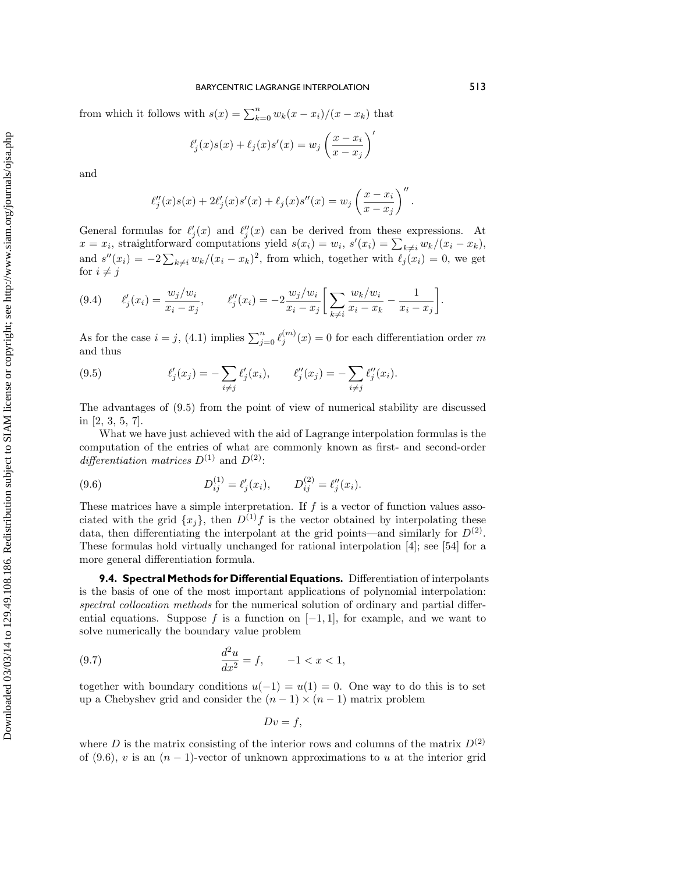from which it follows with  $s(x) = \sum_{k=0}^{n} w_k(x - x_i)/(x - x_k)$  that

$$
\ell'_j(x)s(x) + \ell_j(x)s'(x) = w_j \left(\frac{x - x_i}{x - x_j}\right)'
$$

and

$$
\ell''_j(x)s(x) + 2\ell'_j(x)s'(x) + \ell_j(x)s''(x) = w_j \left(\frac{x - x_i}{x - x_j}\right)''.
$$

General formulas for  $\ell'_j(x)$  and  $\ell''_j(x)$  can be derived from these expressions. At  $x = x_i$ , straightforward computations yield  $s(x_i) = w_i$ ,  $s'(x_i) = \sum_{k \neq i} w_k/(x_i - x_k)$ , and  $s''(x_i) = -2\sum_{k\neq i} w_k/(x_i - x_k)^2$ , from which, together with  $\ell_j(x_i) = 0$ , we get for  $i \neq j$ 

$$
(9.4) \qquad \ell'_j(x_i) = \frac{w_j/w_i}{x_i - x_j}, \qquad \ell''_j(x_i) = -2\frac{w_j/w_i}{x_i - x_j} \left[ \sum_{k \neq i} \frac{w_k/w_i}{x_i - x_k} - \frac{1}{x_i - x_j} \right].
$$

As for the case  $i = j$ , (4.1) implies  $\sum_{j=0}^{n} \ell_j^{(m)}(x) = 0$  for each differentiation order m and thus

(9.5) 
$$
\ell'_j(x_j) = -\sum_{i \neq j} \ell'_j(x_i), \qquad \ell''_j(x_j) = -\sum_{i \neq j} \ell''_j(x_i).
$$

The advantages of (9.5) from the point of viewof numerical stability are discussed in [2, 3, 5, 7].

What we have just achieved with the aid of Lagrange interpolation formulas is the computation of the entries of what are commonly known as first- and second-order differentiation matrices  $D^{(1)}$  and  $D^{(2)}$ :

(9.6) 
$$
D_{ij}^{(1)} = \ell'_j(x_i), \qquad D_{ij}^{(2)} = \ell''_j(x_i).
$$

These matrices have a simple interpretation. If  $f$  is a vector of function values associated with the grid  $\{x_i\}$ , then  $D^{(1)}f$  is the vector obtained by interpolating these data, then differentiating the interpolant at the grid points—and similarly for  $D^{(2)}$ . These formulas hold virtually unchanged for rational interpolation [4]; see [54] for a more general differentiation formula.

**9.4. Spectral Methods for Differential Equations.** Differentiation of interpolants is the basis of one of the most important applications of polynomial interpolation: spectral collocation methods for the numerical solution of ordinary and partial differential equations. Suppose f is a function on  $[-1, 1]$ , for example, and we want to solve numerically the boundary value problem

(9.7) 
$$
\frac{d^2u}{dx^2} = f, \qquad -1 < x < 1,
$$

together with boundary conditions  $u(-1) = u(1) = 0$ . One way to do this is to set up a Chebyshev grid and consider the  $(n-1) \times (n-1)$  matrix problem

$$
Dv = f,
$$

where D is the matrix consisting of the interior rows and columns of the matrix  $D^{(2)}$ of (9.6), v is an  $(n-1)$ -vector of unknown approximations to u at the interior grid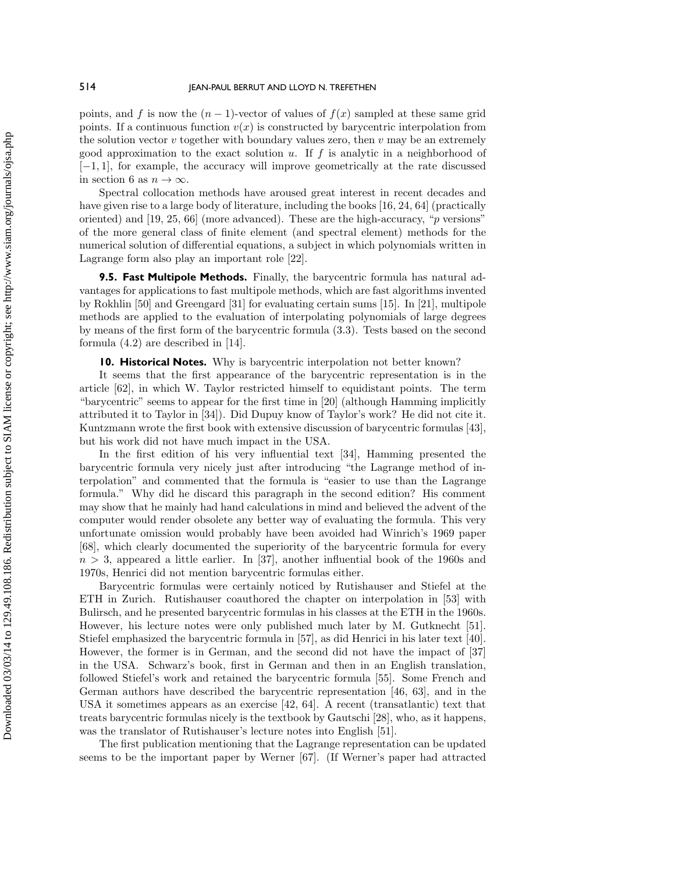points, and f is now the  $(n - 1)$ -vector of values of  $f(x)$  sampled at these same grid points. If a continuous function  $v(x)$  is constructed by barycentric interpolation from the solution vector  $v$  together with boundary values zero, then  $v$  may be an extremely good approximation to the exact solution u. If f is analytic in a neighborhood of [−1, 1], for example, the accuracy will improve geometrically at the rate discussed in section 6 as  $n \to \infty$ .

Spectral collocation methods have aroused great interest in recent decades and have given rise to a large body of literature, including the books [16, 24, 64] (practically oriented) and [19, 25, 66] (more advanced). These are the high-accuracy, "p versions" of the more general class of finite element (and spectral element) methods for the numerical solution of differential equations, a subject in which polynomials written in Lagrange form also play an important role [22].

**9.5. Fast Multipole Methods.** Finally, the barycentric formula has natural advantages for applications to fast multipole methods, which are fast algorithms invented by Rokhlin [50] and Greengard [31] for evaluating certain sums [15]. In [21], multipole methods are applied to the evaluation of interpolating polynomials of large degrees by means of the first form of the barycentric formula (3.3). Tests based on the second formula (4.2) are described in [14].

**10. Historical Notes.** Why is barycentric interpolation not better known?

It seems that the first appearance of the barycentric representation is in the article [62], in which W. Taylor restricted himself to equidistant points. The term "barycentric" seems to appear for the first time in [20] (although Hamming implicitly attributed it to Taylor in [34]). Did Dupuy knowof Taylor's work? He did not cite it. Kuntzmann wrote the first book with extensive discussion of barycentric formulas [43], but his work did not have much impact in the USA.

In the first edition of his very influential text [34], Hamming presented the barycentric formula very nicely just after introducing "the Lagrange method of interpolation" and commented that the formula is "easier to use than the Lagrange formula." Why did he discard this paragraph in the second edition? His comment may showthat he mainly had hand calculations in mind and believed the advent of the computer would render obsolete any better way of evaluating the formula. This very unfortunate omission would probably have been avoided had Winrich's 1969 paper [68], which clearly documented the superiority of the barycentric formula for every  $n > 3$ , appeared a little earlier. In [37], another influential book of the 1960s and 1970s, Henrici did not mention barycentric formulas either.

Barycentric formulas were certainly noticed by Rutishauser and Stiefel at the ETH in Zurich. Rutishauser coauthored the chapter on interpolation in [53] with Bulirsch, and he presented barycentric formulas in his classes at the ETH in the 1960s. However, his lecture notes were only published much later by M. Gutknecht [51]. Stiefel emphasized the barycentric formula in [57], as did Henrici in his later text [40]. However, the former is in German, and the second did not have the impact of [37] in the USA. Schwarz's book, first in German and then in an English translation, followed Stiefel's work and retained the barycentric formula [55]. Some French and German authors have described the barycentric representation [46, 63], and in the USA it sometimes appears as an exercise [42, 64]. A recent (transatlantic) text that treats barycentric formulas nicely is the textbook by Gautschi [28], who, as it happens, was the translator of Rutishauser's lecture notes into English [51].

The first publication mentioning that the Lagrange representation can be updated seems to be the important paper by Werner [67]. (If Werner's paper had attracted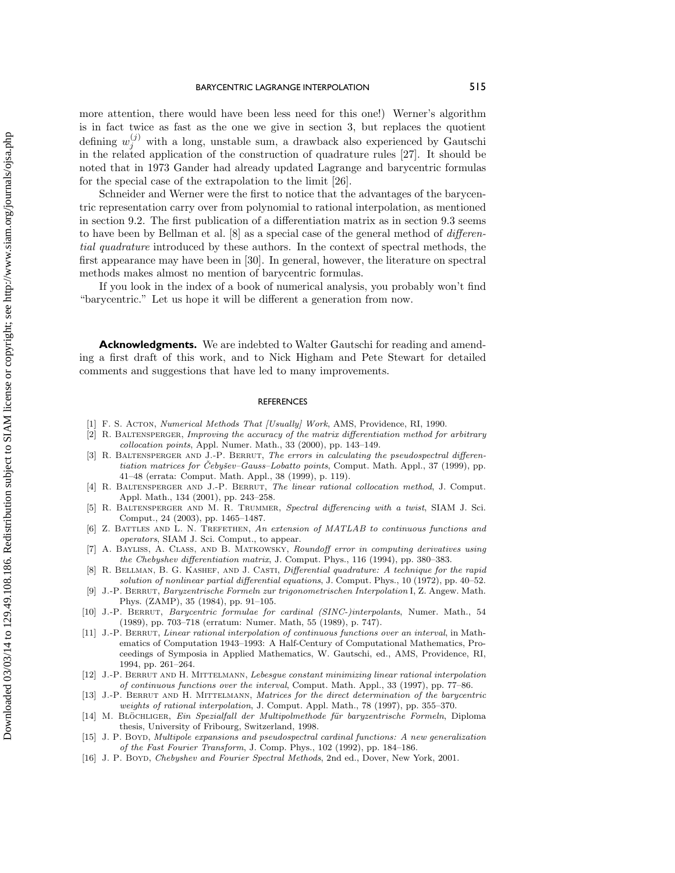more attention, there would have been less need for this one!) Werner's algorithm is in fact twice as fast as the one we give in section 3, but replaces the quotient defining  $w_j^{(j)}$  with a long, unstable sum, a drawback also experienced by Gautschi in the related application of the construction of quadrature rules [27]. It should be noted that in 1973 Gander had already updated Lagrange and barycentric formulas for the special case of the extrapolation to the limit [26].

Schneider and Werner were the first to notice that the advantages of the barycentric representation carry over from polynomial to rational interpolation, as mentioned in section 9.2. The first publication of a differentiation matrix as in section 9.3 seems to have been by Bellman et al. [8] as a special case of the general method of differential quadrature introduced by these authors. In the context of spectral methods, the first appearance may have been in [30]. In general, however, the literature on spectral methods makes almost no mention of barycentric formulas.

If you look in the index of a book of numerical analysis, you probably won't find "barycentric." Let us hope it will be different a generation from now.

**Acknowledgments.** We are indebted to Walter Gautschi for reading and amending a first draft of this work, and to Nick Higham and Pete Stewart for detailed comments and suggestions that have led to many improvements.

### **REFERENCES**

- [1] F. S. ACTON, *Numerical Methods That [Usually] Work*, AMS, Providence, RI, 1990.<br>[2] R. BALTENSPERGER, *Improving the accuracy of the matrix differentiation method for*
- R. BALTENSPERGER, Improving the accuracy of the matrix differentiation method for arbitrary collocation points, Appl. Numer. Math., 33 (2000), pp. 143–149.
- R. BALTENSPERGER AND J.-P. BERRUT, The errors in calculating the pseudospectral differentiation matrices for Čebyšev–Gauss–Lobatto points, Comput. Math. Appl., 37 (1999), pp. 41–48 (errata: Comput. Math. Appl., 38 (1999), p. 119).
- [4] R. Baltensperger and J.-P. Berrut, The linear rational collocation method, J. Comput. Appl. Math., 134 (2001), pp. 243–258.
- [5] R. Baltensperger and M. R. Trummer, Spectral differencing with a twist, SIAM J. Sci. Comput., 24 (2003), pp. 1465–1487.
- [6] Z. BATTLES AND L. N. TREFETHEN, An extension of MATLAB to continuous functions and operators, SIAM J. Sci. Comput., to appear.
- [7] A. Bayliss, A. Class, and B. Matkowsky, Roundoff error in computing derivatives using the Chebyshev differentiation matrix, J. Comput. Phys., 116 (1994), pp. 380–383.
- R. BELLMAN, B. G. KASHEF, AND J. CASTI, Differential quadrature: A technique for the rapid solution of nonlinear partial differential equations, J. Comput. Phys., 10 (1972), pp. 40–52.
- [9] J.-P. Berrut, Baryzentrische Formeln zur trigonometrischen Interpolation I, Z. Angew. Math. Phys. (ZAMP), 35 (1984), pp. 91–105.
- [10] J.-P. Berrut, Barycentric formulae for cardinal (SINC-)interpolants, Numer. Math., 54 (1989), pp. 703–718 (erratum: Numer. Math, 55 (1989), p. 747).
- [11] J.-P. Berrut, Linear rational interpolation of continuous functions over an interval, in Mathematics of Computation 1943–1993: A Half-Century of Computational Mathematics, Proceedings of Symposia in Applied Mathematics, W. Gautschi, ed., AMS, Providence, RI, 1994, pp. 261–264.
- [12] J.-P. Berrut and H. Mittelmann, Lebesgue constant minimizing linear rational interpolation of continuous functions over the interval, Comput. Math. Appl., 33 (1997), pp. 77–86.
- [13] J.-P. BERRUT AND H. MITTELMANN, Matrices for the direct determination of the barycentric weights of rational interpolation, J. Comput. Appl. Math., 78 (1997), pp. 355–370.
- [14] M. BLÖCHLIGER, Ein Spezialfall der Multipolmethode für baryzentrische Formeln, Diploma thesis, University of Fribourg, Switzerland, 1998.
- [15] J. P. Boyd, Multipole expansions and pseudospectral cardinal functions: A new generalization of the Fast Fourier Transform, J. Comp. Phys., 102(1992), pp. 184–186.
- [16] J. P. BOYD, Chebyshev and Fourier Spectral Methods, 2nd ed., Dover, New York, 2001.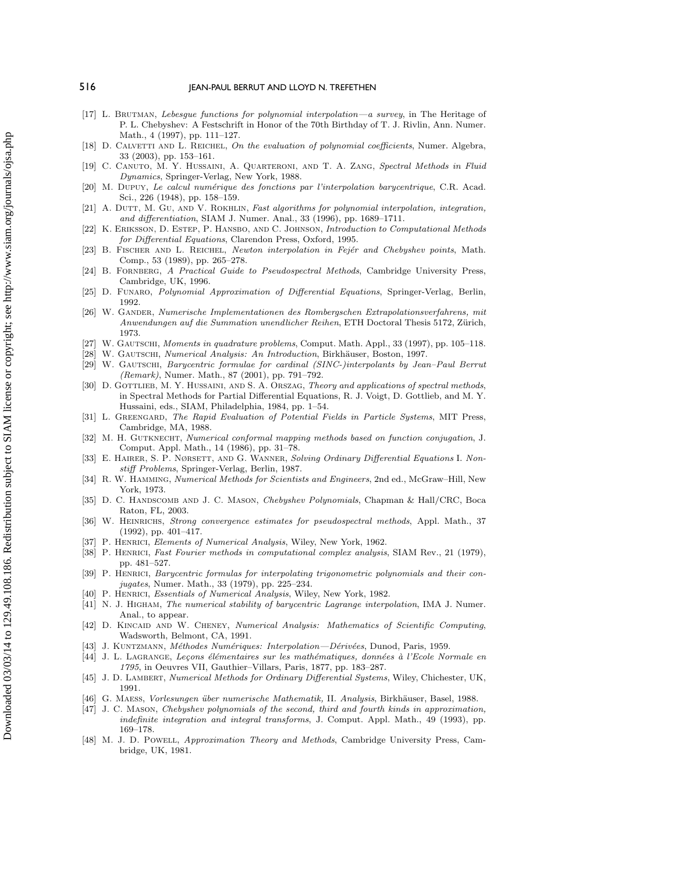- [17] L. BRUTMAN, Lebesgue functions for polynomial interpolation—a survey, in The Heritage of P. L. Chebyshev: A Festschrift in Honor of the 70th Birthday of T. J. Rivlin, Ann. Numer. Math., 4 (1997), pp. 111–127.
- [18] D. CALVETTI AND L. REICHEL, On the evaluation of polynomial coefficients, Numer. Algebra, 33 (2003), pp. 153–161.
- [19] C. CANUTO, M. Y. HUSSAINI, A. QUARTERONI, AND T. A. ZANG, Spectral Methods in Fluid Dynamics, Springer-Verlag, New York, 1988.
- [20] M. Dupuy, Le calcul num´erique des fonctions par l'interpolation barycentrique, C.R. Acad. Sci., 226 (1948), pp. 158–159.
- [21] A. DUTT, M. GU, AND V. ROKHLIN, Fast algorithms for polynomial interpolation, integration, and differentiation, SIAM J. Numer. Anal., 33 (1996), pp. 1689–1711.
- [22] K. ERIKSSON, D. ESTEP, P. HANSBO, AND C. JOHNSON, Introduction to Computational Methods for Differential Equations, Clarendon Press, Oxford, 1995.
- [23] B. FISCHER AND L. REICHEL, Newton interpolation in Fejér and Chebyshev points, Math. Comp., 53 (1989), pp. 265–278.
- [24] B. FORNBERG, A Practical Guide to Pseudospectral Methods, Cambridge University Press, Cambridge, UK, 1996.
- [25] D. Funaro, Polynomial Approximation of Differential Equations, Springer-Verlag, Berlin, 1992.
- [26] W. GANDER, Numerische Implementationen des Rombergschen Extrapolationsverfahrens, mit Anwendungen auf die Summation unendlicher Reihen, ETH Doctoral Thesis 5172, Zürich, 1973.
- [27] W. GAUTSCHI, Moments in quadrature problems, Comput. Math. Appl., 33 (1997), pp. 105–118.
- [28] W. GAUTSCHI, Numerical Analysis: An Introduction, Birkhäuser, Boston, 1997.
- [29] W. Gautschi, Barycentric formulae for cardinal (SINC-)interpolants by Jean–Paul Berrut (Remark), Numer. Math., 87 (2001), pp. 791–792.
- [30] D. GOTTLIEB, M. Y. HUSSAINI, AND S. A. ORSZAG, Theory and applications of spectral methods, in Spectral Methods for Partial Differential Equations, R. J. Voigt, D. Gottlieb, and M. Y. Hussaini, eds., SIAM, Philadelphia, 1984, pp. 1–54.
- [31] L. GREENGARD, The Rapid Evaluation of Potential Fields in Particle Systems, MIT Press, Cambridge, MA, 1988.
- [32] M. H. GUTKNECHT, Numerical conformal mapping methods based on function conjugation, J. Comput. Appl. Math., 14 (1986), pp. 31–78.
- [33] E. HAIRER, S. P. NØRSETT, AND G. WANNER, Solving Ordinary Differential Equations I. Nonstiff Problems, Springer-Verlag, Berlin, 1987.
- [34] R. W. Hamming, Numerical Methods for Scientists and Engineers, 2nd ed., McGraw–Hill, New York, 1973.
- [35] D. C. HANDSCOMB AND J. C. MASON, Chebyshev Polynomials, Chapman & Hall/CRC, Boca Raton, FL, 2003.
- [36] W. HEINRICHS, Strong convergence estimates for pseudospectral methods, Appl. Math., 37 (1992), pp. 401–417.
- [37] P. HENRICI, Elements of Numerical Analysis, Wiley, New York, 1962.
- [38] P. HENRICI, Fast Fourier methods in computational complex analysis, SIAM Rev., 21 (1979), pp. 481–527.
- [39] P. Henrici, Barycentric formulas for interpolating trigonometric polynomials and their conjugates, Numer. Math., 33 (1979), pp. 225–234.
- [40] P. HENRICI, Essentials of Numerical Analysis, Wiley, New York, 1982.
- [41] N. J. HIGHAM, The numerical stability of barycentric Lagrange interpolation, IMA J. Numer. Anal., to appear.
- [42] D. KINCAID AND W. CHENEY, Numerical Analysis: Mathematics of Scientific Computing, Wadsworth, Belmont, CA, 1991.
- [43] J. KUNTZMANN, Méthodes Numériques: Interpolation—Dérivées, Dunod, Paris, 1959.
- [44] J. L. LAGRANGE, Leçons élémentaires sur les mathématiques, données à l'Ecole Normale en 1795, in Oeuvres VII, Gauthier–Villars, Paris, 1877, pp. 183–287.
- [45] J. D. LAMBERT, Numerical Methods for Ordinary Differential Systems, Wiley, Chichester, UK, 1991.
- [46] G. Maess, Vorlesungen ¨uber numerische Mathematik, II. Analysis, Birkh¨auser, Basel, 1988.
- [47] J. C. Mason, Chebyshev polynomials of the second, third and fourth kinds in approximation, indefinite integration and integral transforms, J. Comput. Appl. Math., 49 (1993), pp. 169–178.
- [48] M. J. D. Powell, Approximation Theory and Methods, Cambridge University Press, Cambridge, UK, 1981.